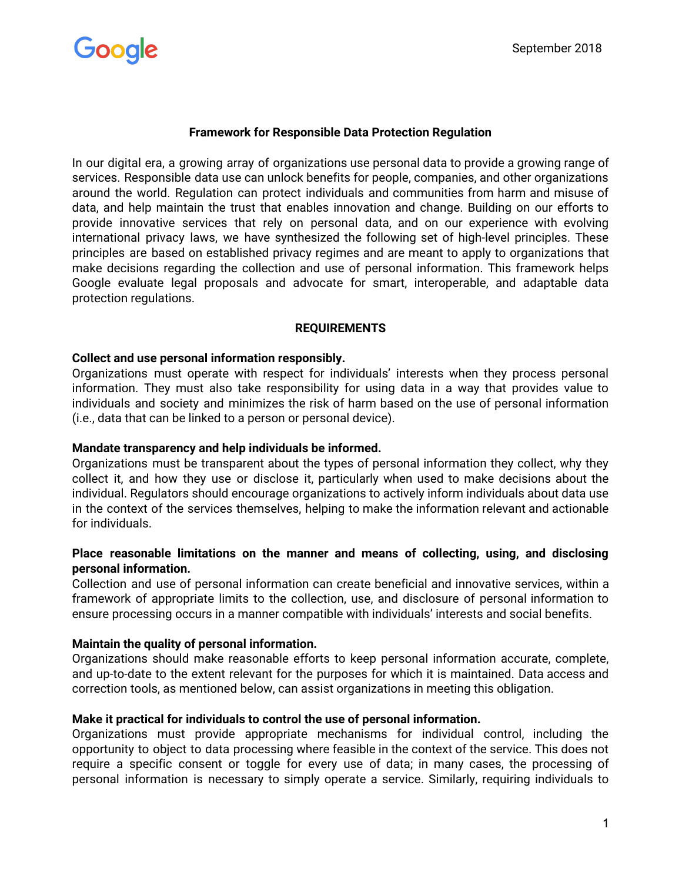

# **Framework for Responsible Data Protection Regulation**

In our digital era, a growing array of organizations use personal data to provide a growing range of services. Responsible data use can unlock benefits for people, companies, and other organizations around the world. Regulation can protect individuals and communities from harm and misuse of data, and help maintain the trust that enables innovation and change. Building on our efforts to provide innovative services that rely on personal data, and on our experience with evolving international privacy laws, we have synthesized the following set of high-level principles. These principles are based on established privacy regimes and are meant to apply to organizations that make decisions regarding the collection and use of personal information. This framework helps Google evaluate legal proposals and advocate for smart, interoperable, and adaptable data protection regulations.

### **REQUIREMENTS**

### **Collect and use personal information responsibly.**

Organizations must operate with respect for individuals' interests when they process personal information. They must also take responsibility for using data in a way that provides value to individuals and society and minimizes the risk of harm based on the use of personal information (i.e., data that can be linked to a person or personal device).

### **Mandate transparency and help individuals be informed.**

Organizations must be transparent about the types of personal information they collect, why they collect it, and how they use or disclose it, particularly when used to make decisions about the individual. Regulators should encourage organizations to actively inform individuals about data use in the context of the services themselves, helping to make the information relevant and actionable for individuals.

## **Place reasonable limitations on the manner and means of collecting, using, and disclosing personal information.**

Collection and use of personal information can create beneficial and innovative services, within a framework of appropriate limits to the collection, use, and disclosure of personal information to ensure processing occurs in a manner compatible with individuals' interests and social benefits.

### **Maintain the quality of personal information.**

Organizations should make reasonable efforts to keep personal information accurate, complete, and up-to-date to the extent relevant for the purposes for which it is maintained. Data access and correction tools, as mentioned below, can assist organizations in meeting this obligation.

## **Make it practical for individuals to control the use of personal information.**

Organizations must provide appropriate mechanisms for individual control, including the opportunity to object to data processing where feasible in the context of the service. This does not require a specific consent or toggle for every use of data; in many cases, the processing of personal information is necessary to simply operate a service. Similarly, requiring individuals to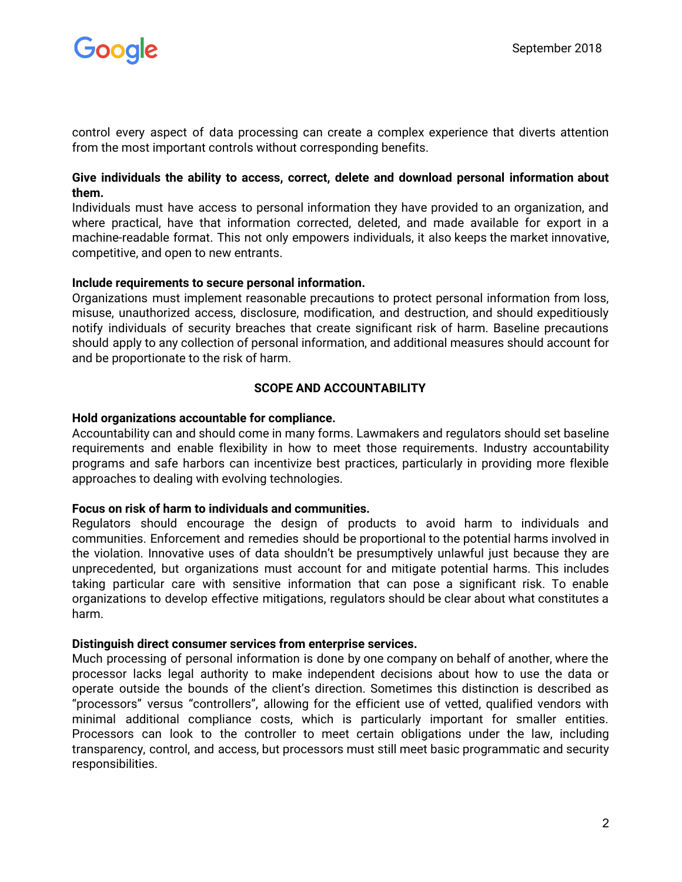

control every aspect of data processing can create a complex experience that diverts attention from the most important controls without corresponding benefits.

### **Give individuals the ability to access, correct, delete and download personal information about them.**

Individuals must have access to personal information they have provided to an organization, and where practical, have that information corrected, deleted, and made available for export in a machine-readable format. This not only empowers individuals, it also keeps the market innovative, competitive, and open to new entrants.

### **Include requirements to secure personal information.**

Organizations must implement reasonable precautions to protect personal information from loss, misuse, unauthorized access, disclosure, modification, and destruction, and should expeditiously notify individuals of security breaches that create significant risk of harm. Baseline precautions should apply to any collection of personal information, and additional measures should account for and be proportionate to the risk of harm.

## **SCOPE AND ACCOUNTABILITY**

### **Hold organizations accountable for compliance.**

Accountability can and should come in many forms. Lawmakers and regulators should set baseline requirements and enable flexibility in how to meet those requirements. Industry accountability programs and safe harbors can incentivize best practices, particularly in providing more flexible approaches to dealing with evolving technologies.

### **Focus on risk of harm to individuals and communities.**

Regulators should encourage the design of products to avoid harm to individuals and communities. Enforcement and remedies should be proportional to the potential harms involved in the violation. Innovative uses of data shouldn't be presumptively unlawful just because they are unprecedented, but organizations must account for and mitigate potential harms. This includes taking particular care with sensitive information that can pose a significant risk. To enable organizations to develop effective mitigations, regulators should be clear about what constitutes a harm.

### **Distinguish direct consumer services from enterprise services.**

Much processing of personal information is done by one company on behalf of another, where the processor lacks legal authority to make independent decisions about how to use the data or operate outside the bounds of the client's direction. Sometimes this distinction is described as "processors" versus "controllers", allowing for the efficient use of vetted, qualified vendors with minimal additional compliance costs, which is particularly important for smaller entities. Processors can look to the controller to meet certain obligations under the law, including transparency, control, and access, but processors must still meet basic programmatic and security responsibilities.